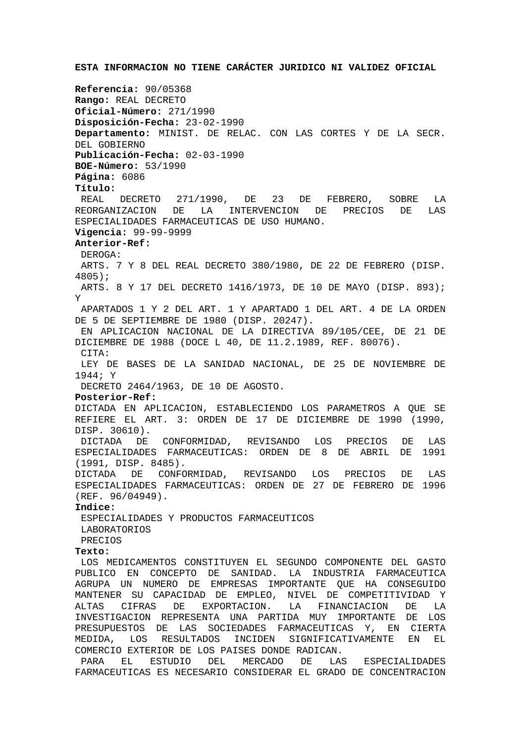**Referencia:** 90/05368 **Rango:** REAL DECRETO **Oficial-Número:** 271/1990 **Disposición-Fecha:** 23-02-1990 **Departamento:** MINIST. DE RELAC. CON LAS CORTES Y DE LA SECR. DEL GOBIERNO **Publicación-Fecha:** 02-03-1990 **BOE-Número:** 53/1990 **Página:** 6086 **Título:** REAL DECRETO 271/1990, DE 23 DE FEBRERO, SOBRE LA REORGANIZACION DE LA INTERVENCION DE PRECIOS DE LAS ESPECIALIDADES FARMACEUTICAS DE USO HUMANO. **Vigencia:** 99-99-9999 **Anterior-Ref:** DEROGA: ARTS. 7 Y 8 DEL REAL DECRETO 380/1980, DE 22 DE FEBRERO (DISP. 4805); ARTS. 8 Y 17 DEL DECRETO 1416/1973, DE 10 DE MAYO (DISP. 893); Y APARTADOS 1 Y 2 DEL ART. 1 Y APARTADO 1 DEL ART. 4 DE LA ORDEN DE 5 DE SEPTIEMBRE DE 1980 (DISP. 20247). EN APLICACION NACIONAL DE LA DIRECTIVA 89/105/CEE, DE 21 DE DICIEMBRE DE 1988 (DOCE L 40, DE 11.2.1989, REF. 80076). CITA: LEY DE BASES DE LA SANIDAD NACIONAL, DE 25 DE NOVIEMBRE DE 1944; Y DECRETO 2464/1963, DE 10 DE AGOSTO. **Posterior-Ref:** DICTADA EN APLICACION, ESTABLECIENDO LOS PARAMETROS A QUE SE REFIERE EL ART. 3: ORDEN DE 17 DE DICIEMBRE DE 1990 (1990, DISP. 30610). DICTADA DE CONFORMIDAD, REVISANDO LOS PRECIOS DE LAS ESPECIALIDADES FARMACEUTICAS: ORDEN DE 8 DE ABRIL DE 1991 (1991, DISP. 8485). DICTADA DE CONFORMIDAD, REVISANDO LOS PRECIOS DE LAS ESPECIALIDADES FARMACEUTICAS: ORDEN DE 27 DE FEBRERO DE 1996 (REF. 96/04949). **Indice:** ESPECIALIDADES Y PRODUCTOS FARMACEUTICOS LABORATORIOS PRECIOS **Texto:** LOS MEDICAMENTOS CONSTITUYEN EL SEGUNDO COMPONENTE DEL GASTO PUBLICO EN CONCEPTO DE SANIDAD. LA INDUSTRIA FARMACEUTICA AGRUPA UN NUMERO DE EMPRESAS IMPORTANTE QUE HA CONSEGUIDO MANTENER SU CAPACIDAD DE EMPLEO, NIVEL DE COMPETITIVIDAD Y ALTAS CIFRAS DE EXPORTACION. LA FINANCIACION DE LA INVESTIGACION REPRESENTA UNA PARTIDA MUY IMPORTANTE DE LOS PRESUPUESTOS DE LAS SOCIEDADES FARMACEUTICAS Y, EN CIERTA MEDIDA, LOS RESULTADOS INCIDEN SIGNIFICATIVAMENTE EN EL COMERCIO EXTERIOR DE LOS PAISES DONDE RADICAN.

**ESTA INFORMACION NO TIENE CARÁCTER JURIDICO NI VALIDEZ OFICIAL**

 PARA EL ESTUDIO DEL MERCADO DE LAS ESPECIALIDADES FARMACEUTICAS ES NECESARIO CONSIDERAR EL GRADO DE CONCENTRACION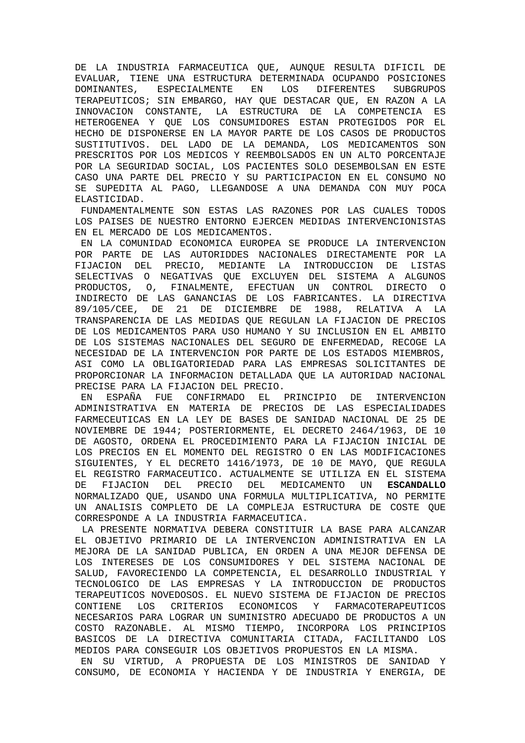DE LA INDUSTRIA FARMACEUTICA QUE, AUNQUE RESULTA DIFICIL DE EVALUAR, TIENE UNA ESTRUCTURA DETERMINADA OCUPANDO POSICIONES DOMINANTES, ESPECIALMENTE EN LOS DIFERENTES SUBGRUPOS TERAPEUTICOS; SIN EMBARGO, HAY QUE DESTACAR QUE, EN RAZON A LA INNOVACION CONSTANTE, LA ESTRUCTURA DE LA COMPETENCIA ES HETEROGENEA Y QUE LOS CONSUMIDORES ESTAN PROTEGIDOS POR EL HECHO DE DISPONERSE EN LA MAYOR PARTE DE LOS CASOS DE PRODUCTOS SUSTITUTIVOS. DEL LADO DE LA DEMANDA, LOS MEDICAMENTOS SON PRESCRITOS POR LOS MEDICOS Y REEMBOLSADOS EN UN ALTO PORCENTAJE POR LA SEGURIDAD SOCIAL, LOS PACIENTES SOLO DESEMBOLSAN EN ESTE CASO UNA PARTE DEL PRECIO Y SU PARTICIPACION EN EL CONSUMO NO SE SUPEDITA AL PAGO, LLEGANDOSE A UNA DEMANDA CON MUY POCA ELASTICIDAD.

 FUNDAMENTALMENTE SON ESTAS LAS RAZONES POR LAS CUALES TODOS LOS PAISES DE NUESTRO ENTORNO EJERCEN MEDIDAS INTERVENCIONISTAS EN EL MERCADO DE LOS MEDICAMENTOS.

 EN LA COMUNIDAD ECONOMICA EUROPEA SE PRODUCE LA INTERVENCION POR PARTE DE LAS AUTORIDDES NACIONALES DIRECTAMENTE POR LA FIJACION DEL PRECIO, MEDIANTE LA INTRODUCCION DE LISTAS SELECTIVAS O NEGATIVAS QUE EXCLUYEN DEL SISTEMA A ALGUNOS PRODUCTOS, O, FINALMENTE, EFECTUAN UN CONTROL DIRECTO O INDIRECTO DE LAS GANANCIAS DE LOS FABRICANTES. LA DIRECTIVA 89/105/CEE, DE 21 DE DICIEMBRE DE 1988, RELATIVA A LA TRANSPARENCIA DE LAS MEDIDAS QUE REGULAN LA FIJACION DE PRECIOS DE LOS MEDICAMENTOS PARA USO HUMANO Y SU INCLUSION EN EL AMBITO DE LOS SISTEMAS NACIONALES DEL SEGURO DE ENFERMEDAD, RECOGE LA NECESIDAD DE LA INTERVENCION POR PARTE DE LOS ESTADOS MIEMBROS, ASI COMO LA OBLIGATORIEDAD PARA LAS EMPRESAS SOLICITANTES DE PROPORCIONAR LA INFORMACION DETALLADA QUE LA AUTORIDAD NACIONAL PRECISE PARA LA FIJACION DEL PRECIO.

 EN ESPAÑA FUE CONFIRMADO EL PRINCIPIO DE INTERVENCION ADMINISTRATIVA EN MATERIA DE PRECIOS DE LAS ESPECIALIDADES FARMECEUTICAS EN LA LEY DE BASES DE SANIDAD NACIONAL DE 25 DE NOVIEMBRE DE 1944; POSTERIORMENTE, EL DECRETO 2464/1963, DE 10 DE AGOSTO, ORDENA EL PROCEDIMIENTO PARA LA FIJACION INICIAL DE LOS PRECIOS EN EL MOMENTO DEL REGISTRO O EN LAS MODIFICACIONES SIGUIENTES, Y EL DECRETO 1416/1973, DE 10 DE MAYO, QUE REGULA EL REGISTRO FARMACEUTICO. ACTUALMENTE SE UTILIZA EN EL SISTEMA DE FIJACION DEL PRECIO DEL MEDICAMENTO UN **ESCANDALLO** NORMALIZADO QUE, USANDO UNA FORMULA MULTIPLICATIVA, NO PERMITE UN ANALISIS COMPLETO DE LA COMPLEJA ESTRUCTURA DE COSTE QUE CORRESPONDE A LA INDUSTRIA FARMACEUTICA.

 LA PRESENTE NORMATIVA DEBERA CONSTITUIR LA BASE PARA ALCANZAR EL OBJETIVO PRIMARIO DE LA INTERVENCION ADMINISTRATIVA EN LA MEJORA DE LA SANIDAD PUBLICA, EN ORDEN A UNA MEJOR DEFENSA DE LOS INTERESES DE LOS CONSUMIDORES Y DEL SISTEMA NACIONAL DE SALUD, FAVORECIENDO LA COMPETENCIA, EL DESARROLLO INDUSTRIAL Y TECNOLOGICO DE LAS EMPRESAS Y LA INTRODUCCION DE PRODUCTOS TERAPEUTICOS NOVEDOSOS. EL NUEVO SISTEMA DE FIJACION DE PRECIOS CONTIENE LOS CRITERIOS ECONOMICOS Y FARMACOTERAPEUTICOS NECESARIOS PARA LOGRAR UN SUMINISTRO ADECUADO DE PRODUCTOS A UN COSTO RAZONABLE. AL MISMO TIEMPO, INCORPORA LOS PRINCIPIOS BASICOS DE LA DIRECTIVA COMUNITARIA CITADA, FACILITANDO LOS MEDIOS PARA CONSEGUIR LOS OBJETIVOS PROPUESTOS EN LA MISMA.

 EN SU VIRTUD, A PROPUESTA DE LOS MINISTROS DE SANIDAD Y CONSUMO, DE ECONOMIA Y HACIENDA Y DE INDUSTRIA Y ENERGIA, DE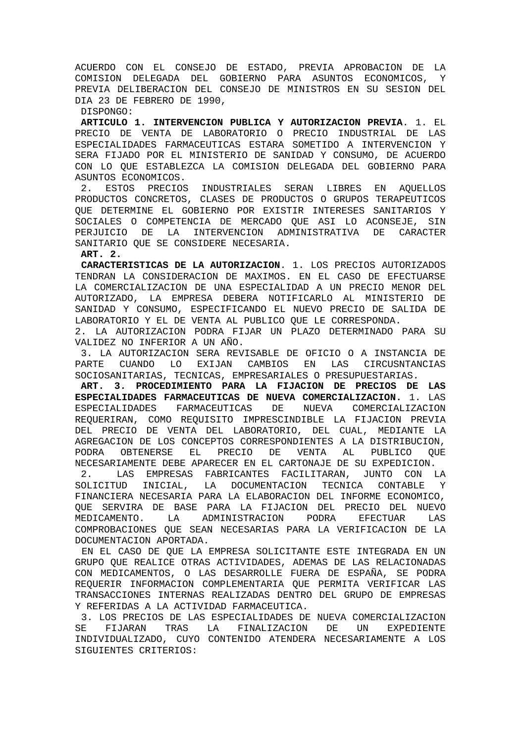ACUERDO CON EL CONSEJO DE ESTADO, PREVIA APROBACION DE LA COMISION DELEGADA DEL GOBIERNO PARA ASUNTOS ECONOMICOS, Y PREVIA DELIBERACION DEL CONSEJO DE MINISTROS EN SU SESION DEL DIA 23 DE FEBRERO DE 1990,

DISPONGO:

**ARTICULO 1. INTERVENCION PUBLICA Y AUTORIZACION PREVIA**. 1. EL PRECIO DE VENTA DE LABORATORIO O PRECIO INDUSTRIAL DE LAS ESPECIALIDADES FARMACEUTICAS ESTARA SOMETIDO A INTERVENCION Y SERA FIJADO POR EL MINISTERIO DE SANIDAD Y CONSUMO, DE ACUERDO CON LO QUE ESTABLEZCA LA COMISION DELEGADA DEL GOBIERNO PARA ASUNTOS ECONOMICOS.

 2. ESTOS PRECIOS INDUSTRIALES SERAN LIBRES EN AQUELLOS PRODUCTOS CONCRETOS, CLASES DE PRODUCTOS O GRUPOS TERAPEUTICOS QUE DETERMINE EL GOBIERNO POR EXISTIR INTERESES SANITARIOS Y SOCIALES O COMPETENCIA DE MERCADO QUE ASI LO ACONSEJE, SIN PERJUICIO DE LA INTERVENCION ADMINISTRATIVA DE CARACTER SANITARIO QUE SE CONSIDERE NECESARIA.

**ART. 2.**

 **CARACTERISTICAS DE LA AUTORIZACION**. 1. LOS PRECIOS AUTORIZADOS TENDRAN LA CONSIDERACION DE MAXIMOS. EN EL CASO DE EFECTUARSE LA COMERCIALIZACION DE UNA ESPECIALIDAD A UN PRECIO MENOR DEL AUTORIZADO, LA EMPRESA DEBERA NOTIFICARLO AL MINISTERIO DE SANIDAD Y CONSUMO, ESPECIFICANDO EL NUEVO PRECIO DE SALIDA DE LABORATORIO Y EL DE VENTA AL PUBLICO QUE LE CORRESPONDA.

2. LA AUTORIZACION PODRA FIJAR UN PLAZO DETERMINADO PARA SU VALIDEZ NO INFERIOR A UN AÑO.

 3. LA AUTORIZACION SERA REVISABLE DE OFICIO O A INSTANCIA DE PARTE CUANDO LO EXIJAN CAMBIOS EN LAS CIRCUSNTANCIAS SOCIOSANITARIAS, TECNICAS, EMPRESARIALES O PRESUPUESTARIAS.

 **ART. 3. PROCEDIMIENTO PARA LA FIJACION DE PRECIOS DE LAS ESPECIALIDADES FARMACEUTICAS DE NUEVA COMERCIALIZACION.** 1. LAS ESPECIALIDADES FARMACEUTICAS DE NUEVA COMERCIALIZACION REQUERIRAN, COMO REQUISITO IMPRESCINDIBLE LA FIJACION PREVIA DEL PRECIO DE VENTA DEL LABORATORIO, DEL CUAL, MEDIANTE LA AGREGACION DE LOS CONCEPTOS CORRESPONDIENTES A LA DISTRIBUCION, PODRA OBTENERSE EL PRECIO DE VENTA AL PUBLICO QUE NECESARIAMENTE DEBE APARECER EN EL CARTONAJE DE SU EXPEDICION.

 2. LAS EMPRESAS FABRICANTES FACILITARAN, JUNTO CON LA SOLICITUD INICIAL, LA DOCUMENTACION TECNICA CONTABLE Y FINANCIERA NECESARIA PARA LA ELABORACION DEL INFORME ECONOMICO, QUE SERVIRA DE BASE PARA LA FIJACION DEL PRECIO DEL NUEVO MEDICAMENTO. LA ADMINISTRACION PODRA EFECTUAR LAS COMPROBACIONES QUE SEAN NECESARIAS PARA LA VERIFICACION DE LA DOCUMENTACION APORTADA.

 EN EL CASO DE QUE LA EMPRESA SOLICITANTE ESTE INTEGRADA EN UN GRUPO QUE REALICE OTRAS ACTIVIDADES, ADEMAS DE LAS RELACIONADAS CON MEDICAMENTOS, O LAS DESARROLLE FUERA DE ESPAÑA, SE PODRA REQUERIR INFORMACION COMPLEMENTARIA QUE PERMITA VERIFICAR LAS TRANSACCIONES INTERNAS REALIZADAS DENTRO DEL GRUPO DE EMPRESAS Y REFERIDAS A LA ACTIVIDAD FARMACEUTICA.

 3. LOS PRECIOS DE LAS ESPECIALIDADES DE NUEVA COMERCIALIZACION SE FIJARAN TRAS LA FINALIZACION DE UN EXPEDIENTE INDIVIDUALIZADO, CUYO CONTENIDO ATENDERA NECESARIAMENTE A LOS SIGUIENTES CRITERIOS: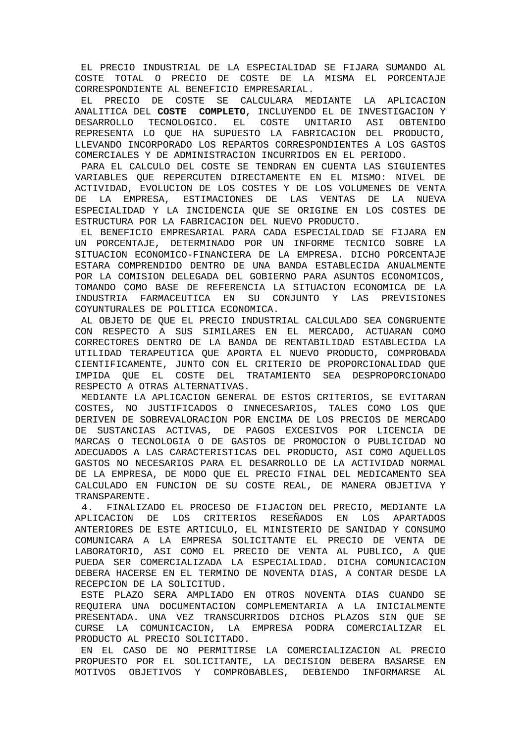EL PRECIO INDUSTRIAL DE LA ESPECIALIDAD SE FIJARA SUMANDO AL COSTE TOTAL O PRECIO DE COSTE DE LA MISMA EL PORCENTAJE CORRESPONDIENTE AL BENEFICIO EMPRESARIAL.

 EL PRECIO DE COSTE SE CALCULARA MEDIANTE LA APLICACION ANALITICA DEL **COSTE COMPLETO**, INCLUYENDO EL DE INVESTIGACION Y DESARROLLO TECNOLOGICO. EL COSTE UNITARIO ASI OBTENIDO REPRESENTA LO QUE HA SUPUESTO LA FABRICACION DEL PRODUCTO, LLEVANDO INCORPORADO LOS REPARTOS CORRESPONDIENTES A LOS GASTOS COMERCIALES Y DE ADMINISTRACION INCURRIDOS EN EL PERIODO.

 PARA EL CALCULO DEL COSTE SE TENDRAN EN CUENTA LAS SIGUIENTES VARIABLES QUE REPERCUTEN DIRECTAMENTE EN EL MISMO: NIVEL DE ACTIVIDAD, EVOLUCION DE LOS COSTES Y DE LOS VOLUMENES DE VENTA DE LA EMPRESA, ESTIMACIONES DE LAS VENTAS DE LA NUEVA ESPECIALIDAD Y LA INCIDENCIA QUE SE ORIGINE EN LOS COSTES DE ESTRUCTURA POR LA FABRICACION DEL NUEVO PRODUCTO.

 EL BENEFICIO EMPRESARIAL PARA CADA ESPECIALIDAD SE FIJARA EN UN PORCENTAJE, DETERMINADO POR UN INFORME TECNICO SOBRE LA SITUACION ECONOMICO-FINANCIERA DE LA EMPRESA. DICHO PORCENTAJE ESTARA COMPRENDIDO DENTRO DE UNA BANDA ESTABLECIDA ANUALMENTE POR LA COMISION DELEGADA DEL GOBIERNO PARA ASUNTOS ECONOMICOS, TOMANDO COMO BASE DE REFERENCIA LA SITUACION ECONOMICA DE LA INDUSTRIA FARMACEUTICA EN SU CONJUNTO Y LAS PREVISIONES COYUNTURALES DE POLITICA ECONOMICA.

 AL OBJETO DE QUE EL PRECIO INDUSTRIAL CALCULADO SEA CONGRUENTE CON RESPECTO A SUS SIMILARES EN EL MERCADO, ACTUARAN COMO CORRECTORES DENTRO DE LA BANDA DE RENTABILIDAD ESTABLECIDA LA UTILIDAD TERAPEUTICA QUE APORTA EL NUEVO PRODUCTO, COMPROBADA CIENTIFICAMENTE, JUNTO CON EL CRITERIO DE PROPORCIONALIDAD QUE IMPIDA QUE EL COSTE DEL TRATAMIENTO SEA DESPROPORCIONADO RESPECTO A OTRAS ALTERNATIVAS.

 MEDIANTE LA APLICACION GENERAL DE ESTOS CRITERIOS, SE EVITARAN COSTES, NO JUSTIFICADOS O INNECESARIOS, TALES COMO LOS QUE DERIVEN DE SOBREVALORACION POR ENCIMA DE LOS PRECIOS DE MERCADO DE SUSTANCIAS ACTIVAS, DE PAGOS EXCESIVOS POR LICENCIA DE MARCAS O TECNOLOGIA O DE GASTOS DE PROMOCION O PUBLICIDAD NO ADECUADOS A LAS CARACTERISTICAS DEL PRODUCTO, ASI COMO AQUELLOS GASTOS NO NECESARIOS PARA EL DESARROLLO DE LA ACTIVIDAD NORMAL DE LA EMPRESA, DE MODO QUE EL PRECIO FINAL DEL MEDICAMENTO SEA CALCULADO EN FUNCION DE SU COSTE REAL, DE MANERA OBJETIVA Y TRANSPARENTE.

 4. FINALIZADO EL PROCESO DE FIJACION DEL PRECIO, MEDIANTE LA APLICACION DE LOS CRITERIOS RESEÑADOS EN LOS APARTADOS ANTERIORES DE ESTE ARTICULO, EL MINISTERIO DE SANIDAD Y CONSUMO COMUNICARA A LA EMPRESA SOLICITANTE EL PRECIO DE VENTA DE LABORATORIO, ASI COMO EL PRECIO DE VENTA AL PUBLICO, A QUE PUEDA SER COMERCIALIZADA LA ESPECIALIDAD. DICHA COMUNICACION DEBERA HACERSE EN EL TERMINO DE NOVENTA DIAS, A CONTAR DESDE LA RECEPCION DE LA SOLICITUD.

 ESTE PLAZO SERA AMPLIADO EN OTROS NOVENTA DIAS CUANDO SE REQUIERA UNA DOCUMENTACION COMPLEMENTARIA A LA INICIALMENTE PRESENTADA. UNA VEZ TRANSCURRIDOS DICHOS PLAZOS SIN QUE SE CURSE LA COMUNICACION, LA EMPRESA PODRA COMERCIALIZAR EL PRODUCTO AL PRECIO SOLICITADO.

 EN EL CASO DE NO PERMITIRSE LA COMERCIALIZACION AL PRECIO PROPUESTO POR EL SOLICITANTE, LA DECISION DEBERA BASARSE EN MOTIVOS OBJETIVOS Y COMPROBABLES, DEBIENDO INFORMARSE AL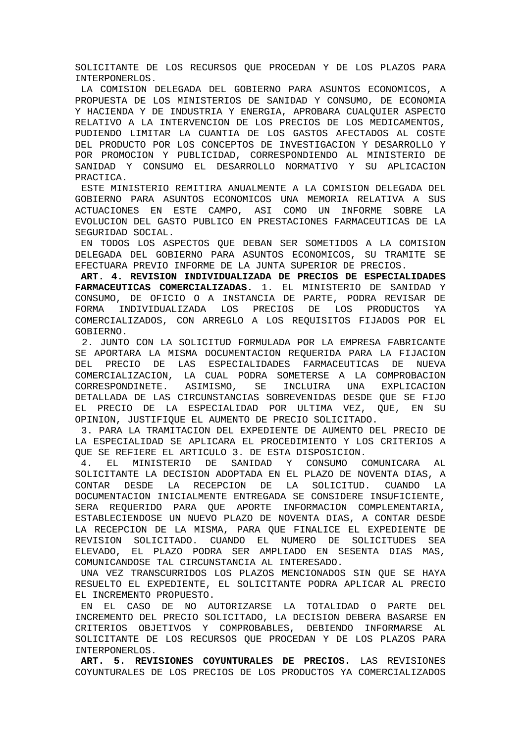SOLICITANTE DE LOS RECURSOS QUE PROCEDAN Y DE LOS PLAZOS PARA INTERPONERLOS.

 LA COMISION DELEGADA DEL GOBIERNO PARA ASUNTOS ECONOMICOS, A PROPUESTA DE LOS MINISTERIOS DE SANIDAD Y CONSUMO, DE ECONOMIA Y HACIENDA Y DE INDUSTRIA Y ENERGIA, APROBARA CUALQUIER ASPECTO RELATIVO A LA INTERVENCION DE LOS PRECIOS DE LOS MEDICAMENTOS, PUDIENDO LIMITAR LA CUANTIA DE LOS GASTOS AFECTADOS AL COSTE DEL PRODUCTO POR LOS CONCEPTOS DE INVESTIGACION Y DESARROLLO Y POR PROMOCION Y PUBLICIDAD, CORRESPONDIENDO AL MINISTERIO DE SANIDAD Y CONSUMO EL DESARROLLO NORMATIVO Y SU APLICACION PRACTICA.

 ESTE MINISTERIO REMITIRA ANUALMENTE A LA COMISION DELEGADA DEL GOBIERNO PARA ASUNTOS ECONOMICOS UNA MEMORIA RELATIVA A SUS ACTUACIONES EN ESTE CAMPO, ASI COMO UN INFORME SOBRE LA EVOLUCION DEL GASTO PUBLICO EN PRESTACIONES FARMACEUTICAS DE LA SEGURIDAD SOCIAL.

 EN TODOS LOS ASPECTOS QUE DEBAN SER SOMETIDOS A LA COMISION DELEGADA DEL GOBIERNO PARA ASUNTOS ECONOMICOS, SU TRAMITE SE EFECTUARA PREVIO INFORME DE LA JUNTA SUPERIOR DE PRECIOS.

**ART. 4. REVISION INDIVIDUALIZADA DE PRECIOS DE ESPECIALIDADES FARMACEUTICAS COMERCIALIZADAS.** 1. EL MINISTERIO DE SANIDAD Y CONSUMO, DE OFICIO O A INSTANCIA DE PARTE, PODRA REVISAR DE FORMA INDIVIDUALIZADA LOS PRECIOS DE LOS PRODUCTOS YA COMERCIALIZADOS, CON ARREGLO A LOS REQUISITOS FIJADOS POR EL GOBIERNO.

 2. JUNTO CON LA SOLICITUD FORMULADA POR LA EMPRESA FABRICANTE SE APORTARA LA MISMA DOCUMENTACION REQUERIDA PARA LA FIJACION DEL PRECIO DE LAS ESPECIALIDADES FARMACEUTICAS DE NUEVA COMERCIALIZACION, LA CUAL PODRA SOMETERSE A LA COMPROBACION CORRESPONDINETE. ASIMISMO, SE INCLUIRA UNA EXPLICACION DETALLADA DE LAS CIRCUNSTANCIAS SOBREVENIDAS DESDE QUE SE FIJO EL PRECIO DE LA ESPECIALIDAD POR ULTIMA VEZ, QUE, EN SU OPINION, JUSTIFIQUE EL AUMENTO DE PRECIO SOLICITADO.

 3. PARA LA TRAMITACION DEL EXPEDIENTE DE AUMENTO DEL PRECIO DE LA ESPECIALIDAD SE APLICARA EL PROCEDIMIENTO Y LOS CRITERIOS A QUE SE REFIERE EL ARTICULO 3. DE ESTA DISPOSICION.

 4. EL MINISTERIO DE SANIDAD Y CONSUMO COMUNICARA AL SOLICITANTE LA DECISION ADOPTADA EN EL PLAZO DE NOVENTA DIAS, A CONTAR DESDE LA RECEPCION DE LA SOLICITUD. CUANDO LA DOCUMENTACION INICIALMENTE ENTREGADA SE CONSIDERE INSUFICIENTE, SERA REQUERIDO PARA QUE APORTE INFORMACION COMPLEMENTARIA, ESTABLECIENDOSE UN NUEVO PLAZO DE NOVENTA DIAS, A CONTAR DESDE LA RECEPCION DE LA MISMA, PARA QUE FINALICE EL EXPEDIENTE DE REVISION SOLICITADO. CUANDO EL NUMERO DE SOLICITUDES SEA ELEVADO, EL PLAZO PODRA SER AMPLIADO EN SESENTA DIAS MAS, COMUNICANDOSE TAL CIRCUNSTANCIA AL INTERESADO.

 UNA VEZ TRANSCURRIDOS LOS PLAZOS MENCIONADOS SIN QUE SE HAYA RESUELTO EL EXPEDIENTE, EL SOLICITANTE PODRA APLICAR AL PRECIO EL INCREMENTO PROPUESTO.

 EN EL CASO DE NO AUTORIZARSE LA TOTALIDAD O PARTE DEL INCREMENTO DEL PRECIO SOLICITADO, LA DECISION DEBERA BASARSE EN CRITERIOS OBJETIVOS Y COMPROBABLES, DEBIENDO INFORMARSE AL SOLICITANTE DE LOS RECURSOS QUE PROCEDAN Y DE LOS PLAZOS PARA INTERPONERLOS.

**ART. 5. REVISIONES COYUNTURALES DE PRECIOS.** LAS REVISIONES COYUNTURALES DE LOS PRECIOS DE LOS PRODUCTOS YA COMERCIALIZADOS